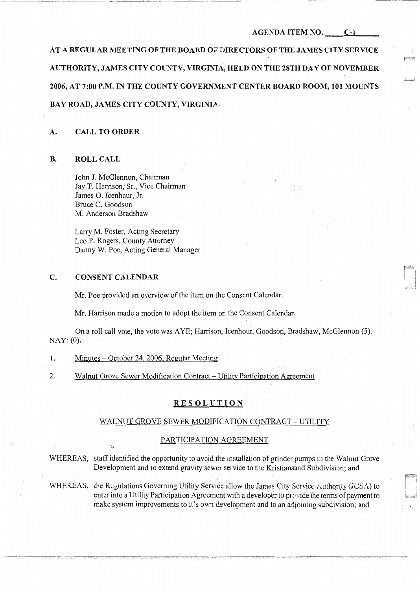**AT A REGULAR MEETING OF THE BOARD OI' :::JIRECTORS OF THE JAMES CITY SERVICE AUTHORITY, JAMES CITY COUNTY, VIRGINIA, HELD ON THE 28TH DAY OF NOVEMBER**  2006, AT 7:00 P.M. IN THE COUNTY GOVERNMENT CENTER BOARD ROOM, 101 MOUNTS **BAY ROAD, JAMES CITY COUNTY, VIRGINIA.** 

#### **A. CALL TO ORDER**

#### **B. ROLL CALL**

John J. McGlennon, Chairman Jay T. Harrison, Sr., Vice Chairman James 0. Icenhour, Jr. Bruce C. Goodson M. Anderson Bradshaw

Larry M. Foster, Acting Secretary Leo P. Rogers, County Attorney Danny W. Poe, Acting General Manager

## **C. CONSENT CALENDAR**

Mr. Poe provided an overview of the item on the Consent Calendar.

Mr. Harrison made a motion to adopt the item on the Consent Calendar.

On a roll call vote, the vote was AYE; Harrison, Icenhour, Goodson, Bradshaw, McGlennon (5). NAY: (0).

- 1. Minutes October 24, 2006, Regular Meeting
- 2. Walnut Grove Sewer Modification Contract- Utility Participation Agreement

### **RESOLUTION**

#### WALNUT GROVE SEWER MODIFICATION CONTRACT - UTILITY

#### PARTICIPATION AGREEMENT

WHEREAS, staff identified the opportunity to avoid the installation of grinder pumps in the Walnut Grove Development and to extend gravity sewer service to the Kristiansand Subdivision; and

WHEREAS, the Regulations Governing Utility Service allow the James City Service Authority (JCSA) to enter into a Utility Participation Agreement with a developer to provide the terms of payment to make system improvements to it's own development and to an adjoining subdivision; and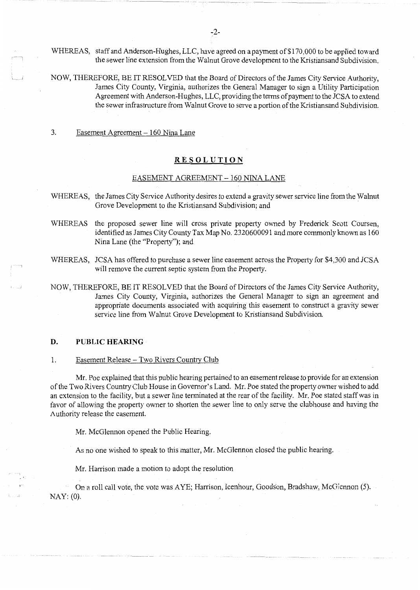WHEREAS, staff and Anderson-Hughes, LLC, have agreed on a payment of \$170,000 to be applied toward the sewer line extension from the Walnut Grove development to the Kristiansand Subdivision.

NOW, THEREFORE, BE IT RESOLVED that the Board of Directors of the James City Service Authority, James City County, Virginia, authorizes the General Manager to sign a Utility Participation Agreement with Anderson-Hughes, LLC, providing the terms of payment to the JCSA to extend the sewer infrastructure from Walnut Grove to serve a portion of the Kristiansand Subdivision.

3. Easement Agreement - 160 Nina Lane

## **RESOLUTION**

### EASEMENT AGREEMENT - 160 NINA LANE

- WHEREAS, the James City Service Authority desires to extend a gravity sewer service line from the Walnut Grove Development to the Kristiansand Subdivision; and
- WHEREAS the proposed sewer line will cross private property owned by Frederick Scott Coursen, identified as James City County Tax Map No.  $2320600091$  and more commonly known as 160 Nina Lane (the "Property"); and
- WHEREAS, JCSA has offered to purchase a sewer line easement across the Property for \$4,300 and JCSA will remove the current septic system from the Property.
- NOW, THEREFORE, BE IT RESOLVED that the Board of Directors of the James City Service Authority, James City County, Virginia, authorizes the General Manager to sign an agreement and appropriate documents associated with acquiring this easement to construct a gravity sewer service line from Walnut Grove Development to Kristiansand Subdivision.

#### **D. PUBLIC HEARING**

#### 1. Easement Release - Two Rivers Country Club

Mr. Poe explained that this public hearing pertained to an easement release to provide for an extension of the Two Rivers Country Club House in Governor's Land. Mr. Poe stated the property owner wished to add an extension to the facility, but a sewer line terminated at the rear of the facility. Mr. Poe stated staff was in favor of allowing the property owner to shorten the sewer line to only serve the clubhouse and having the Authority release the easement.

Mr. McGlennon opened the Public Hearing.

As no one wished to speak to this matter, Mr. McGlennon closed the public hearing.

Mr. Harrison made a motion to adopt the resolution

On a roll call vote, the vote was AYE; Harrison, Icenhour, Goodson, Bradshaw, McGlennon (5). NAY: (0).